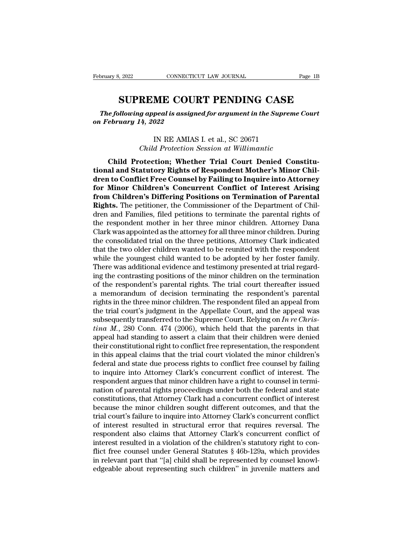<sup>3, 2022</sup><br>CONNECTICUT LAW JOURNAL Page 1B<br>**SUPREME COURT PENDING CASE**<br>Polowing appeal is assigned for argument in the Supreme Court<br>Vidary 14, 2022 *The following appeal is assigned for argument in the Supreme Court*<br> *The following appeal is assigned for argument in the Supreme Court*<br> *Tebruary 14, 2022 February 8, 2022 CONNECTICU*<br> **SUPREME COUP**<br> *The following appeal is assigned on February 14, 2022* **SUPREME COURT PENDING CASE**<br>The following appeal is assigned for argument in the Supreme Court<br>on February 14, 2022<br>IN RE AMIAS I. et al., SC 20671<br>Child Protection Session at Willimantic **REME COURT PENDING CASE**<br>*g* appeal is assigned for argument in the Supreme (<br><sup>14, 2022</sup><br>IN RE AMIAS I. et al., SC 20671<br>*Child Protection Session at Willimantic*<br>otection; Whether Trial Court Denied Cons

e following appeal is assigned for argument in the Supreme Court<br>
ebruary 14, 2022<br>
IN RE AMIAS I. et al., SC 20671<br>
Child Protection; Whether Trial Court Denied Constitu-<br>
al and Statutory Rights of Respondent Mother's Mi Ineyotowing appear is assigned for argument in the supreme Coart<br>
on February 14, 2022<br>
IN RE AMIAS I. et al., SC 20671<br> *Child Protection*; Whether Trial Court Denied Constitu-<br> **tional and Statutory Rights of Respondent** IN RE AMIAS I. et al., SC 20671<br>
Child Protection Session at Willimantic<br> **Child Protection; Whether Trial Court Denied Constitu-<br>
tional and Statutory Rights of Respondent Mother's Minor Chil-<br>
dren to Conflict Free Couns** IN RE AMIAS I. et al., SC 20671<br> *Child Protection Session at Willimantic*<br> **Child Protection; Whether Trial Court Denied Constitu-<br>
tional and Statutory Rights of Respondent Mother's Minor Chil-<br>
dren to Conflict Free Cou** *From Child Protection,* Session at Willimantic<br> **from Child Protection; Whether Trial Court Denied Constitu-<br>
<b>from Children to Conflict Free Counsel by Failing to Inquire into Attorney**<br> **for Minor Children's Concurrent Child Protection Session at Watchmare**<br>Child Protection; Whether Trial Court Denied Constitu-<br>tional and Statutory Rights of Respondent Mother's Minor Chil-<br>dren to Conflict Free Counsel by Failing to Inquire into Attorne Child Protection; Whether Trial Court Denied Constitu-<br>tional and Statutory Rights of Respondent Mother's Minor Chil-<br>dren to Conflict Free Counsel by Failing to Inquire into Attorney<br>for Minor Children's Concurrent Confli tional and Statutory Rights of Respondent Mother's Minor Children to Conflict Free Counsel by Failing to Inquire into Attorney<br>for Minor Children's Concurrent Conflict of Interest Arising<br>from Children's Differing Position dren to Conflict Free Counsel by Failing to Inquire into Attorney<br>for Minor Children's Concurrent Conflict of Interest Arising<br>from Children's Differing Positions on Termination of Parental<br>Rights. The petitioner, the Comm **for Minor Children's Concurrent Conflict of Interest Arising**<br>**from Children's Differing Positions on Termination of Parental<br><b>Rights.** The petitioner, the Commissioner of the Department of Chil-<br>dren and Families, filed **from Children's Differing Positions on Termination of Parental Rights.** The petitioner, the Commissioner of the Department of Children and Families, filed petitions to terminate the parental rights of the respondent mothe **Rights.** The petitioner, the Commissioner of the Department of Children and Families, filed petitions to terminate the parental rights of the respondent mother in her three minor children. Attorney Dana Clark was appointe dren and Families, filed petitions to terminate the parental rights of<br>the respondent mother in her three minor children. Attorney Dana<br>Clark was appointed as the attorney for all three minor children. During<br>the consolida the respondent mother in her three minor children. Attorney Dana<br>Clark was appointed as the attorney for all three minor children. During<br>the consolidated trial on the three petitions, Attorney Clark indicated<br>that the two Clark was appointed as the attorney for all three minor children. During<br>the consolidated trial on the three petitions, Attorney Clark indicated<br>that the two older children wanted to be reunited with the respondent<br>while t the consolidated trial on the three petitions, Attorney Clark indicated<br>that the two older children wanted to be reunited with the respondent<br>while the youngest child wanted to be adopted by her foster family.<br>There was ad that the two older children wanted to be reunited with the respondent<br>while the youngest child wanted to be adopted by her foster family.<br>There was additional evidence and testimony presented at trial regard-<br>ing the cont while the youngest child wanted to be adopted by her foster family.<br>There was additional evidence and testimony presented at trial regard-<br>ing the contrasting positions of the minor children on the termination<br>of the resp There was additional evidence and testimony presented at trial regarding the contrasting positions of the minor children on the termination of the respondent's parental rights. The trial court thereafter issued a memorandu ing the contrasting positions of the minor children on the termination<br>of the respondent's parental rights. The trial court thereafter issued<br>a memorandum of decision terminating the respondent's parental<br>rights in the thr of the respondent's parental rights. The trial court thereafter issued<br>a memorandum of decision terminating the respondent's parental<br>rights in the three minor children. The respondent filed an appeal from<br>the trial court a memorandum of decision terminating the respondent's parental<br>rights in the three minor children. The respondent filed an appeal from<br>the trial court's judgment in the Appellate Court, and the appeal was<br>subsequently tra rights in the three minor children. The respondent filed an appeal from<br>the trial court's judgment in the Appellate Court, and the appeal was<br>subsequently transferred to the Supreme Court. Relying on  $In re Chris-  
tina M., 280$  Con the trial court's judgment in the Appellate Court, and the appeal was subsequently transferred to the Supreme Court. Relying on  $In re Chris-  
tina M., 280 Conn. 474 (2006), which held that the parents in that  
appendal had standing to assert a claim that their children were denied  
their constitutional right to conflict free representation, the respondent  
in this appeal claims that the trial court violated the minor children's  
federal and state due process rights to conflict free course by failing$ subsequently transferred to the Supreme Court. Relying on *In re Christina M.*, 280 Conn. 474 (2006), which held that the parents in that appeal had standing to assert a claim that their children were denied their constitu tina M., 280 Conn. 474 (2006), which held that the parents in that appeal had standing to assert a claim that their children were denied their constitutional right to conflict free representation, the respondent in this ap appeal had standing to assert a claim that their children were denied<br>their constitutional right to conflict free representation, the respondent<br>in this appeal claims that the trial court violated the minor children's<br>fede their constitutional right to conflict free representation, the respondent<br>in this appeal claims that the trial court violated the minor children's<br>federal and state due process rights to conflict free counsel by failing<br>t in this appeal claims that the trial court violated the minor children's<br>federal and state due process rights to conflict free counsel by failing<br>to inquire into Attorney Clark's concurrent conflict of interest. The<br>respon federal and state due process rights to conflict free counsel by failing<br>to inquire into Attorney Clark's concurrent conflict of interest. The<br>respondent argues that minor children have a right to counsel in termi-<br>nation to inquire into Attorney Clark's concurrent conflict of interest. The respondent argues that minor children have a right to counsel in termination of parental rights proceedings under both the federal and state constitutio respondent argues that minor children have a right to counsel in termination of parental rights proceedings under both the federal and state constitutions, that Attorney Clark had a concurrent conflict of interest because mation of parental rights proceedings under both the federal and state constitutions, that Attorney Clark had a concurrent conflict of interest because the minor children sought different outcomes, and that the trial cour constitutions, that Attorney Clark had a concurrent conflict of interest<br>because the minor children sought different outcomes, and that the<br>trial court's failure to inquire into Attorney Clark's concurrent conflict<br>of inte because the minor children sought different outcomes, and that the trial court's failure to inquire into Attorney Clark's concurrent conflict of interest resulted in structural error that requires reversal. The respondent trial court's failure to inquire into Attorney Clark's concurrent conflict<br>of interest resulted in structural error that requires reversal. The<br>respondent also claims that Attorney Clark's concurrent conflict of<br>interest